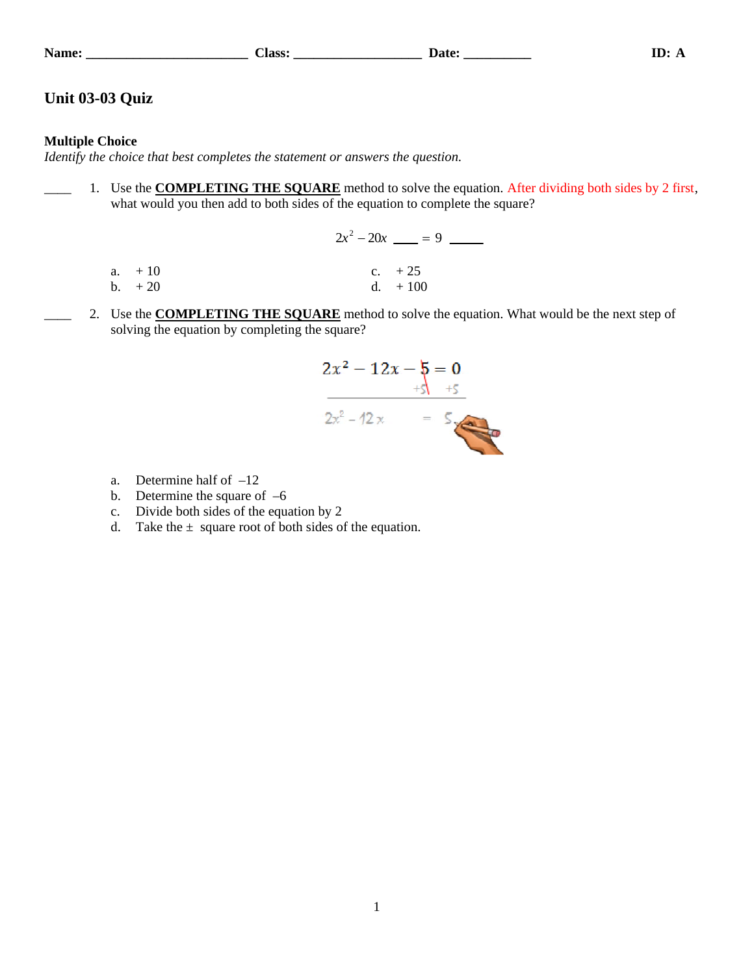| ame |  |
|-----|--|
|     |  |

## **Name: \_\_\_\_\_\_\_\_\_\_\_\_\_\_\_\_\_\_\_\_\_\_\_\_ Class: \_\_\_\_\_\_\_\_\_\_\_\_\_\_\_\_\_\_\_ Date: \_\_\_\_\_\_\_\_\_\_ ID: A**

# **Unit 03-03 Quiz**

## **Multiple Choice**

*Identify the choice that best completes the statement or answers the question.*

1. Use the **COMPLETING THE SQUARE** method to solve the equation. After dividing both sides by 2 first, what would you then add to both sides of the equation to complete the square?

|           | $2x^2-20x$ = 9 = |
|-----------|------------------|
|           |                  |
| $a. + 10$ | c. $+25$         |
| $b. +20$  | $d. + 100$       |

2. Use the **COMPLETING THE SQUARE** method to solve the equation. What would be the next step of solving the equation by completing the square?



- a. Determine half of –12
- b. Determine the square of  $-6$
- c. Divide both sides of the equation by 2
- d. Take the  $\pm$  square root of both sides of the equation.